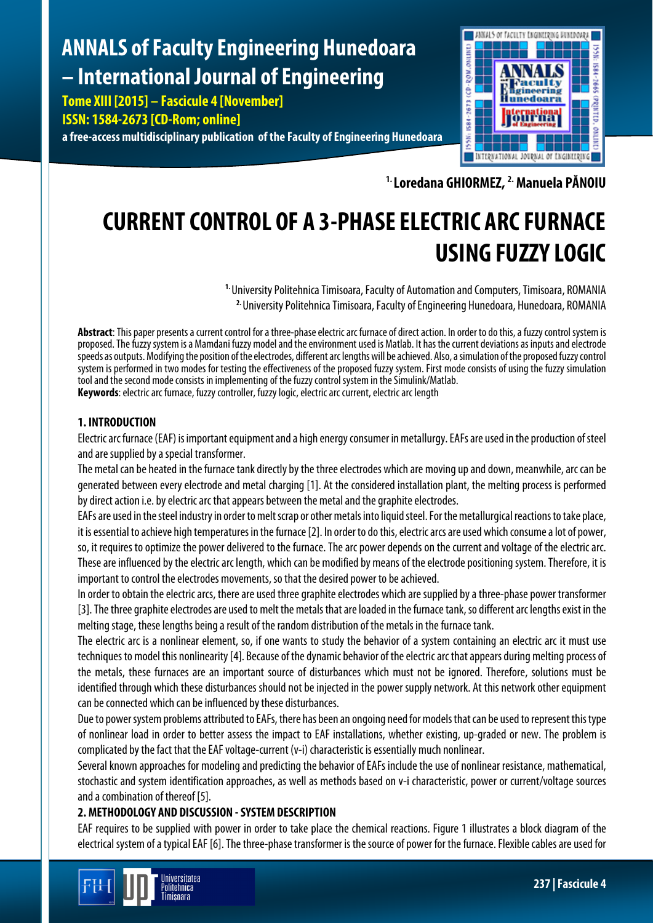## **ANNALS of Faculty Engineering Hunedoara – International Journal of Engineering**

**Tome XIII [2015] – Fascicule 4 [November] ISSN: 1584-2673 [CD-Rom; online] a free-access multidisciplinary publication of the Faculty of Engineering Hunedoara**



**1. Loredana GHIORMEZ, 2.Manuela PĂNOIU**

# **CURRENT CONTROL OF A 3-PHASE ELECTRIC ARC FURNACE USING FUZZY LOGIC**

**1.** University Politehnica Timisoara, Faculty of Automation and Computers, Timisoara, ROMANIA **2.** University Politehnica Timisoara, Faculty of Engineering Hunedoara, Hunedoara, ROMANIA

**Abstract**: This paper presents a current control for a three-phase electric arc furnace of direct action. In order to do this, a fuzzy control system is proposed. The fuzzy system is a Mamdani fuzzy model and the environment used is Matlab. It has the current deviations as inputs and electrode speeds as outputs. Modifying the position of the electrodes, different arc lengths will be achieved. Also, a simulation of the proposed fuzzy control system is performed in two modes for testing the effectiveness of the proposed fuzzy system. First mode consists of using the fuzzy simulation tool and the second mode consists in implementing of the fuzzy control system in the Simulink/Matlab. **Keywords**: electric arc furnace, fuzzy controller, fuzzy logic, electric arc current, electric arc length

## **1. INTRODUCTION**

Electric arc furnace (EAF) is important equipment and a high energy consumer in metallurgy. EAFs are used in the production of steel and are supplied by a special transformer.

The metal can be heated in the furnace tank directly by the three electrodes which are moving up and down, meanwhile, arc can be generated between every electrode and metal charging [1]. At the considered installation plant, the melting process is performed by direct action i.e. by electric arc that appears between the metal and the graphite electrodes.

EAFs are used in the steel industry in order to melt scrap or other metals into liquid steel. For the metallurgical reactionsto take place, it is essential to achieve high temperatures in the furnace [2]. In order to do this, electricarcs are used which consume a lot of power, so, it requires to optimize the power delivered to the furnace. The arc power depends on the current and voltage of the electric arc. These are influenced by the electric arc length, which can be modified by means of the electrode positioning system. Therefore, it is important to control the electrodes movements, so that the desired power to be achieved.

In order to obtain the electric arcs, there are used three graphite electrodes which are supplied by a three-phase power transformer [3]. The three graphite electrodes are used to melt the metals that are loaded in the furnace tank, so different arc lengths exist in the melting stage, these lengths being a result of the random distribution of the metals in the furnace tank.

The electric arc is a nonlinear element, so, if one wants to study the behavior of a system containing an electric arc it must use techniques to model this nonlinearity [4]. Because of the dynamic behavior of the electric arc that appears duringmelting process of the metals, these furnaces are an important source of disturbances which must not be ignored. Therefore, solutions must be identified through which these disturbances should not be injected in the power supply network. At this network other equipment can be connected which can be influenced by these disturbances.

Due to power system problems attributed to EAFs, there has been an ongoing need for models that can be used to represent this type of nonlinear load in order to better assess the impact to EAF installations, whether existing, up-graded or new. The problem is complicated by the fact that the EAF voltage-current (v-i) characteristic is essentially much nonlinear.

Several known approaches for modeling and predicting the behavior of EAFs include the use of nonlinear resistance, mathematical, stochastic and system identification approaches, as well as methods based on v-i characteristic, power or current/voltage sources and a combination of thereof [5].

## **2. METHODOLOGY AND DISCUSSION -SYSTEM DESCRIPTION**

EAF requires to be supplied with power in order to take place the chemical reactions. Figure 1 illustrates a block diagram of the electrical system of a typical EAF [6]. The three-phase transformer is the source of power for the furnace. Flexible cables are used for

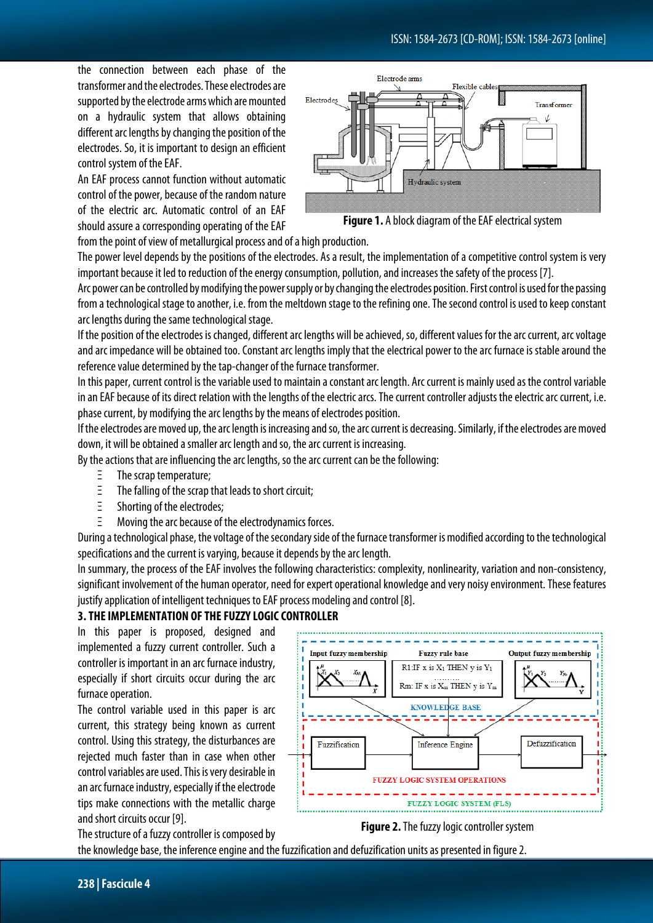the connection between each phase of the transformer and the electrodes. These electrodes are supported by the electrode arms which are mounted on a hydraulic system that allows obtaining different arc lengths by changing the position of the electrodes. So, it is important to design an efficient control system of the EAF.

An EAF process cannot function without automatic control of the power, because of the random nature of the electric arc. Automatic control of an EAF should assure a corresponding operating of the EAF



**Figure 1.** A block diagram of the EAF electrical system

from the point of view of metallurgical process and of a high production.

The power level depends by the positions of the electrodes. As a result, the implementation of a competitive control system is very important because it led to reduction of the energy consumption, pollution, and increases the safety of the process [7].

Arc power can be controlled by modifying the power supply or by changing the electrodes position. First control is used for the passing from a technological stage to another, i.e. from the meltdown stage to the refining one. The second control is used to keep constant arc lengths during the same technological stage.

If the position of the electrodes is changed, different arc lengths will be achieved, so, different values for the arc current, arc voltage and arc impedance will be obtained too. Constant arc lengths imply that the electrical power to the arc furnace is stable around the reference value determined by the tap-changer of the furnace transformer.

In this paper, current control is the variable used to maintain a constant arc length. Arc current is mainly used as the control variable in an EAF because of its direct relation with the lengths of the electric arcs. The current controller adjusts the electric arc current, i.e. phase current, by modifying the arc lengths by the means of electrodes position.

If the electrodes are moved up, the arc length is increasing and so, the arc current is decreasing. Similarly, if the electrodes are moved down, it will be obtained a smaller arc length and so, the arc current is increasing.

By the actions that are influencing the arc lengths, so the arc current can be the following:

- Ξ The scrap temperature;
- Ξ The falling of the scrap that leads to short circuit;
- Ξ Shorting of the electrodes;
- Ξ Moving the arc because of the electrodynamics forces.

During a technological phase, the voltage of the secondary side of the furnace transformer is modified according to the technological specifications and the current is varying, because it depends by the arc length.

In summary, the process of the EAF involves the following characteristics: complexity, nonlinearity, variation and non-consistency, significant involvement of the human operator, need for expert operational knowledge and very noisy environment. These features justify application of intelligent techniques to EAF process modeling and control [8].

## **3. THE IMPLEMENTATION OF THE FUZZY LOGIC CONTROLLER**

In this paper is proposed, designed and implemented a fuzzy current controller. Such a controller is important in an arc furnace industry, especially if short circuits occur during the arc furnace operation.

The control variable used in this paper is arc current, this strategy being known as current control. Using this strategy, the disturbances are rejected much faster than in case when other control variables are used. This is very desirable in an arc furnace industry, especially if the electrode tips make connections with the metallic charge and short circuits occur [9].

The structure of a fuzzy controller is composed by



**Figure 2.**The fuzzy logic controller system

the knowledge base, the inference engine and the fuzzification and defuzification units as presented in figure 2.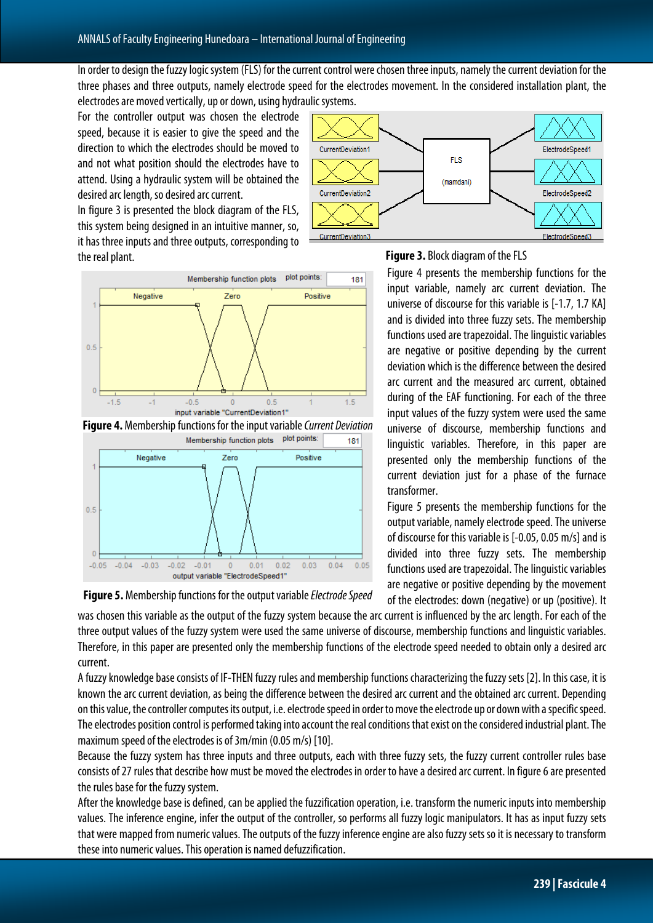In order to design the fuzzy logic system (FLS) for the current control were chosen three inputs, namely the current deviation for the three phases and three outputs, namely electrode speed for the electrodes movement. In the considered installation plant, the electrodes are moved vertically, up or down, using hydraulic systems.

For the controller output was chosen the electrode speed, because it is easier to give the speed and the direction to which the electrodes should be moved to and not what position should the electrodes have to attend. Using a hydraulic system will be obtained the desired arc length, so desired arc current.

In figure 3 is presented the block diagram of the FLS, this system being designed in an intuitive manner, so, it has three inputs and three outputs, corresponding to the real plant.



**Figure 4.** Membership functions for the input variable *Current Deviation*



**Figure 5.** Membership functions for the output variable *Electrode Speed*





Figure 4 presents the membership functions for the input variable, namely arc current deviation. The universe of discourse for this variable is [-1.7, 1.7 KA] and is divided into three fuzzy sets. The membership functions used are trapezoidal. The linguistic variables are negative or positive depending by the current deviation which is the difference between the desired arc current and the measured arc current, obtained during of the EAF functioning. For each of the three input values of the fuzzy system were used the same universe of discourse, membership functions and linguistic variables. Therefore, in this paper are presented only the membership functions of the current deviation just for a phase of the furnace transformer.

Figure 5 presents the membership functions for the output variable, namely electrode speed. The universe of discourse for this variable is [-0.05, 0.05 m/s] and is divided into three fuzzy sets. The membership functions used are trapezoidal. The linguistic variables are negative or positive depending by the movement of the electrodes: down (negative) or up (positive). It

was chosen this variable as the output of the fuzzy system because the arc current is influenced by the arc length. For each of the three output values of the fuzzy system were used the same universe of discourse, membership functions and linguistic variables. Therefore, in this paper are presented only the membership functions of the electrode speed needed to obtain only a desired arc current.

A fuzzy knowledge base consists of IF-THEN fuzzy rules and membership functions characterizing the fuzzy sets [2]. In this case, it is known the arc current deviation, as being the difference between the desired arc current and the obtained arc current. Depending on this value, the controller computes its output, i.e. electrode speed in order to move the electrode up or down with a specific speed. The electrodes position control is performed taking into account the real conditions that exist on the considered industrialplant. The maximum speed of the electrodes is of 3m/min (0.05 m/s) [10].

Because the fuzzy system has three inputs and three outputs, each with three fuzzy sets, the fuzzy current controller rules base consists of 27 rules that describe how must be moved the electrodes in order to have a desired arc current. In figure 6 are presented the rules base for the fuzzy system.

After the knowledge base is defined, can be applied the fuzzification operation, i.e. transform the numeric inputs into membership values. The inference engine, infer the output of the controller, so performs all fuzzy logic manipulators. It has as input fuzzy sets that were mapped from numeric values. The outputs of the fuzzy inference engine are also fuzzy sets so it is necessary to transform these into numeric values. This operation is named defuzzification.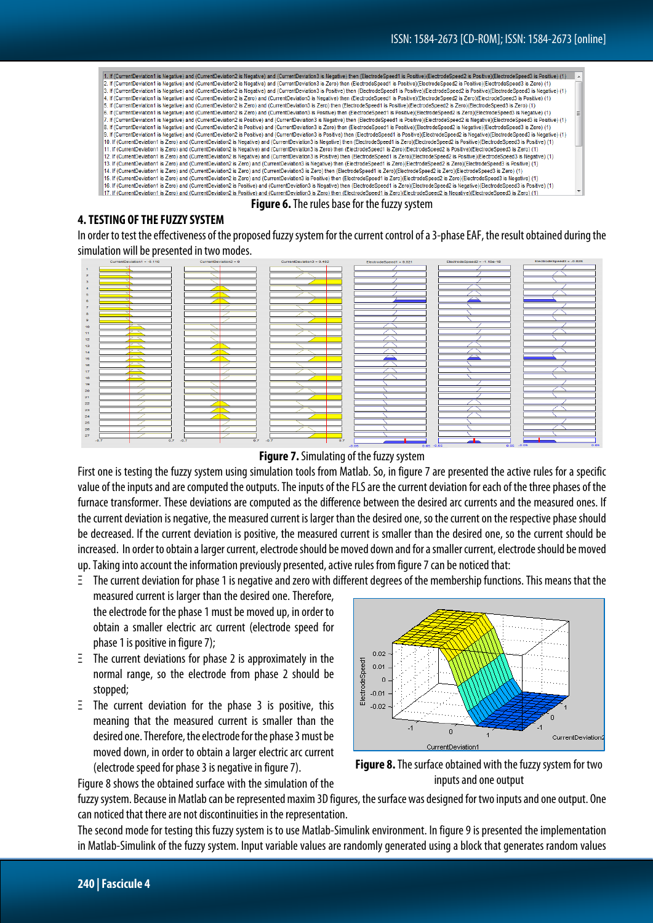| 1. If (CurrentDeviation1 is Negative) and (CurrentDeviation2 is Negative) and (CurrentDeviation3 is Negative) then (ElectrodeSpeed1 is Positive)(ElectrodeSpeed2 is Positive)(ElectrodeSpeed2) is Positive)(ElectrodeSpeed3 is |  |
|--------------------------------------------------------------------------------------------------------------------------------------------------------------------------------------------------------------------------------|--|
| 2. If (CurrentDeviation1 is Negative) and (CurrentDeviation2 is Negative) and (CurrentDeviation3 is Zero) then (ElectrodeSpeed1 is Positive)(ElectrodeSpeed2 is Positive)(ElectrodeSpeed2 is Positive)(ElectrodeSpeed3 is Zero |  |
| 3. If (CurrentDeviation1 is Negative) and (CurrentDeviation2 is Negative) and (CurrentDeviation3 is Positive) then (ElectrodeSpeed1 is Positive)(ElectrodeSpeed2 is Positive)(ElectrodeSpeed2 is Positive)(ElectrodeSpeed3 is  |  |
| 4. If (CurrentDeviation1 is Negative) and (CurrentDeviation2 is Zero) and (CurrentDeviation3 is Negative) then (ElectrodeSpeed1 is Positive)(ElectrodeSpeed2 is Zero)(ElectrodeSpeed3 is Positive) (1)                         |  |
| 5. If (CurrentDeviation1 is Negative) and (CurrentDeviation2 is Zero) and (CurrentDeviation3 is Zero) then (ElectrodeSpeed1 is Positive)(ElectrodeSpeed2 is Zero)(ElectrodeSpeed3 is Zero) (1)                                 |  |
| 6. If (CurrentDeviation1 is Neoative) and (CurrentDeviation2 is Zero) and (CurrentDeviation3 is Positive) then (ElectrodeSpeed1 is Positive) (ElectrodeSpeed2 is Zero) (ElectrodeSpeed2 is Neoative) (1)                       |  |
| 7. If (CurrentDeviation1 is Negative) and (CurrentDeviation2 is Positive) and (CurrentDeviation3 is Negative) then (ElectrodeSpeed1 is Positive)(ElectrodeSpeed2 is Negative)(ElectrodeSpeed3 is Positive) (1)                 |  |
| 8. If (CurrentDeviation1 is Negative) and (CurrentDeviation2 is Positive) and (CurrentDeviation3 is Zero) then (ElectrodeSpeed1 is Positive)(ElectrodeSpeed2 is Negative)(ElectrodeSpeed2 is Negative)(ElectrodeSpeed2 is Zero |  |
| 9. If (CurrentDeviation1 is Negative) and (CurrentDeviation2 is Positive) and (CurrentDeviation3 is Positive) then (ElectrodeSpeed1 is Positive)(ElectrodeSpeed2 is Negative)(ElectrodeSpeed2 is Negative)(ElectrodeSpeed2) is |  |
| 10). If (CurrentDeviation1 is Zero) and (CurrentDeviation2 is Negative) and (CurrentDeviation3 is Negative) then (ElectrodeSpeed1 is Zero)(ElectrodeSpeed2 is Positive)(ElectrodeSpeed3 is Positive) (f)                       |  |
| 11. If (CurrentDeviation1 is Zero) and (CurrentDeviation2 is Negative) and (CurrentDeviation3 is Zero) then (ElectrodeSpeed1 is Zero)(ElectrodeSpeed2 is Positive)(ElectrodeSpeed3 is Zero) (1)                                |  |
| 12. If (CurrentDeviation1 is Zero) and (CurrentDeviation2 is Negative) and (CurrentDeviation3 is Positive) then (ElectrodeSpeed1 is Zero)(ElectrodeSpeed2 is Positive)(ElectrodeSpeed2 is Negative) (1)                        |  |
| 13. If (CurrentDeviation1 is Zero) and (CurrentDeviation2 is Zero) and (CurrentDeviation3 is Negative) then (ElectrodeSpeed1 is Zero)(ElectrodeSpeed2 is Zero)(ElectrodeSpeed3 is Positive) (1)                                |  |
| 14. If (CurrentDeviation1 is Zero) and (CurrentDeviation2 is Zero) and (CurrentDeviation3 is Zero) then (ElectrodeSpeed1 is Zero)(ElectrodeSpeed2 is Zero)(ElectrodeSpeed3 is Zero)(ElectrodeSpeed2 is Zero)(ElectrodeSpeed2 i |  |
| 15. If (CurrentDeviation1 is Zero) and (CurrentDeviation2 is Zero) and (CurrentDeviation3 is Positive) then (ElectrodeSpeed1 is Zero)(ElectrodeSpeed2 is Zero)(ElectrodeSpeed2 is Aequition) 3 Negative) (1)                   |  |
| 16. If (CurrentDeviation1 is Zero) and (CurrentDeviation2 is Positive) and (CurrentDeviation3 is Negative) then (ElectrodeSpeed1 is Zero)(ElectrodeSpeed2 is Negative)(ElectrodeSpeed3 is Positive) (1)                        |  |
| 17. If (CurrentDeviation1 is Zero) and (CurrentDeviation2 is Positive) and (CurrentDeviation3 is Zero) then (ElectrodeSpeed1 is Zero)(ElectrodeSpeed2 is Negative)(ElectrodeSpeed3 is Zero) (1)                                |  |
|                                                                                                                                                                                                                                |  |

**Figure 6.**The rules base for the fuzzy system

#### **4. TESTING OF THE FUZZY SYSTEM**

In order to test the effectiveness of the proposed fuzzy system for the current control of a 3-phase EAF, the result obtained during the simulation will be presented in two modes.



#### **Figure 7.**Simulating of the fuzzy system

First one is testing the fuzzy system using simulation tools from Matlab. So, in figure 7 are presented the active rules for a specific value of the inputs and are computed the outputs. The inputs of the FLS are the current deviation for each of the three phases of the furnace transformer. These deviations are computed as the difference between the desired arc currents and the measured ones. If the current deviation is negative, the measured current is larger than the desired one, so the current on the respective phase should be decreased. If the current deviation is positive, the measured current is smaller than the desired one, so the current should be increased. In order to obtain a larger current, electrode should be moved down and for a smaller current, electrode should be moved up.Taking into account the information previously presented, active rules from figure 7 can be noticed that:

Ξ The current deviation for phase 1 is negative and zero with different degrees of the membership functions. This means that the measured current is larger than the desired one. Therefore, the electrode for the phase 1 must be moved up, in order to obtain a smaller electric arc current (electrode speed for phase 1 is positive in figure 7);

- Ξ The current deviations for phase 2 is approximately in the normal range, so the electrode from phase 2 should be stopped;
- Ξ The current deviation for the phase 3 is positive, this meaning that the measured current is smaller than the desired one. Therefore, the electrode for the phase 3 must be moved down, in order to obtain a larger electric arc current (electrode speed for phase 3 is negative in figure 7).





Figure 8 shows the obtained surface with the simulation of the fuzzy system. Because in Matlab can be represented maxim 3D figures, the surface was designed for two inputs and one output. One

can noticed that there are not discontinuities in the representation.

The second mode for testing this fuzzy system is to use Matlab-Simulink environment. In figure 9 is presented the implementation in Matlab-Simulink of the fuzzy system. Input variable values are randomly generated using a block that generates random values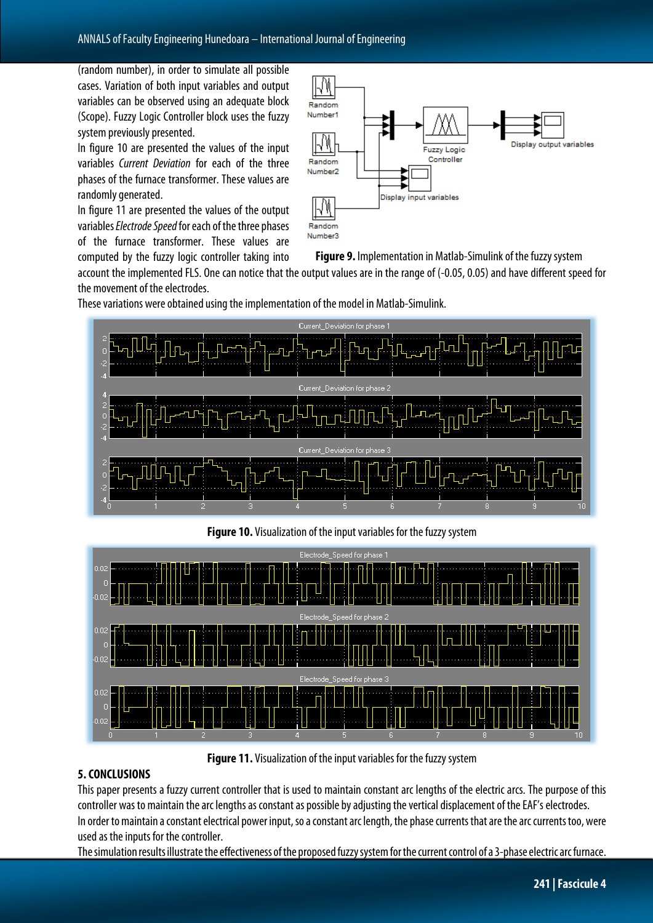(random number), in order to simulate all possible cases. Variation of both input variables and output variables can be observed using an adequate block (Scope). Fuzzy Logic Controller block uses the fuzzy system previously presented.

In figure 10 are presented the values of the input variables *Current Deviation* for each of the three phases of the furnace transformer. These values are randomly generated.

In figure 11 are presented the values of the output variables *Electrode Speed*for each of the three phases of the furnace transformer. These values are computed by the fuzzy logic controller taking into



**Figure 9.** Implementation in Matlab-Simulink of the fuzzy system

account the implemented FLS. One can notice that the output values are in the range of (-0.05, 0.05) and have different speed for the movement of the electrodes.

These variations were obtained using the implementation of the model in Matlab-Simulink.



**Figure 10.** Visualization of the input variables for the fuzzy system



**Figure 11.** Visualization of the input variables for the fuzzy system

## **5. CONCLUSIONS**

This paper presents a fuzzy current controller that is used to maintain constant arc lengths of the electric arcs. The purpose of this controller was to maintain the arc lengths as constant as possible by adjusting the vertical displacement of the EAF's electrodes. In order to maintain a constant electrical power input, so a constant arc length, the phase currents that are the arc currents too, were used as the inputs for the controller.

The simulation results illustrate the effectiveness of the proposed fuzzy system for the current control of a 3-phase electric arc furnace.